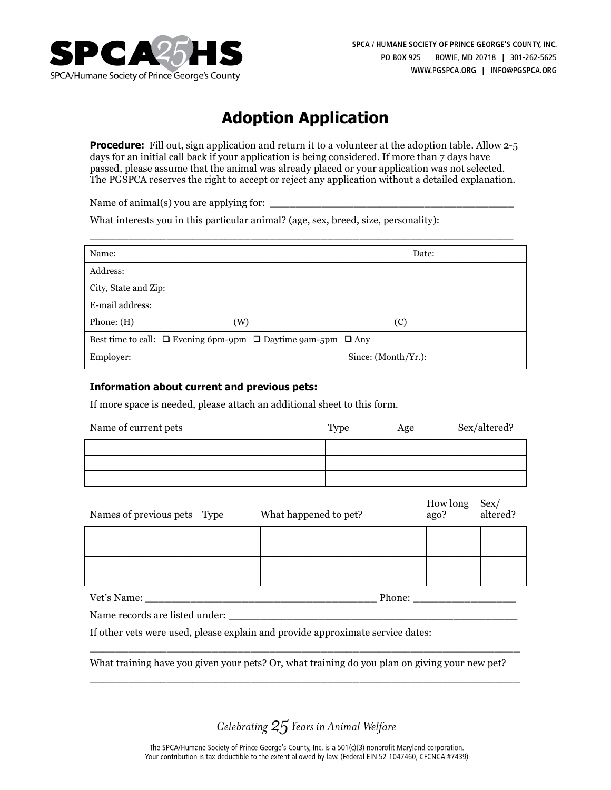

# **Adoption Application**

**Procedure:** Fill out, sign application and return it to a volunteer at the adoption table. Allow 2-5 days for an initial call back if your application is being considered. If more than 7 days have passed, please assume that the animal was already placed or your application was not selected. The PGSPCA reserves the right to accept or reject any application without a detailed explanation.

Name of animal(s) you are applying for: \_\_\_\_\_\_\_\_\_\_\_\_\_\_\_\_\_\_\_\_\_\_\_\_\_\_\_\_\_\_\_\_\_\_\_\_\_\_

What interests you in this particular animal? (age, sex, breed, size, personality):

| Name:                                                                       |     | Date:                  |
|-----------------------------------------------------------------------------|-----|------------------------|
| Address:                                                                    |     |                        |
| City, State and Zip:                                                        |     |                        |
| E-mail address:                                                             |     |                        |
| Phone: $(H)$                                                                | (W) | (C)                    |
| Best time to call: $\Box$ Evening 6pm-9pm $\Box$ Daytime 9am-5pm $\Box$ Any |     |                        |
| Employer:                                                                   |     | Since: $(Month/Yr.)$ : |

\_\_\_\_\_\_\_\_\_\_\_\_\_\_\_\_\_\_\_\_\_\_\_\_\_\_\_\_\_\_\_\_\_\_\_\_\_\_\_\_\_\_\_\_\_\_\_\_\_\_\_\_\_\_\_\_\_\_\_\_\_\_\_\_\_\_

#### **Information about current and previous pets:**

If more space is needed, please attach an additional sheet to this form.

| Name of current pets | Type | Age | Sex/altered? |
|----------------------|------|-----|--------------|
|                      |      |     |              |
|                      |      |     |              |
|                      |      |     |              |

| Names of previous pets Type | What happened to pet? | How long<br>ago? | Sex/<br>altered? |
|-----------------------------|-----------------------|------------------|------------------|
|                             |                       |                  |                  |
|                             |                       |                  |                  |
|                             |                       |                  |                  |
|                             |                       |                  |                  |
| Vet's Name:                 | Phone:                |                  |                  |

Name records are listed under:

If other vets were used, please explain and provide approximate service dates:

What training have you given your pets? Or, what training do you plan on giving your new pet?

\_\_\_\_\_\_\_\_\_\_\_\_\_\_\_\_\_\_\_\_\_\_\_\_\_\_\_\_\_\_\_\_\_\_\_\_\_\_\_\_\_\_\_\_\_\_\_\_\_\_\_\_\_\_\_\_\_\_\_\_\_\_\_\_\_\_\_

\_\_\_\_\_\_\_\_\_\_\_\_\_\_\_\_\_\_\_\_\_\_\_\_\_\_\_\_\_\_\_\_\_\_\_\_\_\_\_\_\_\_\_\_\_\_\_\_\_\_\_\_\_\_\_\_\_\_\_\_\_\_\_\_\_\_\_

Celebrating 25 Years in Animal Welfare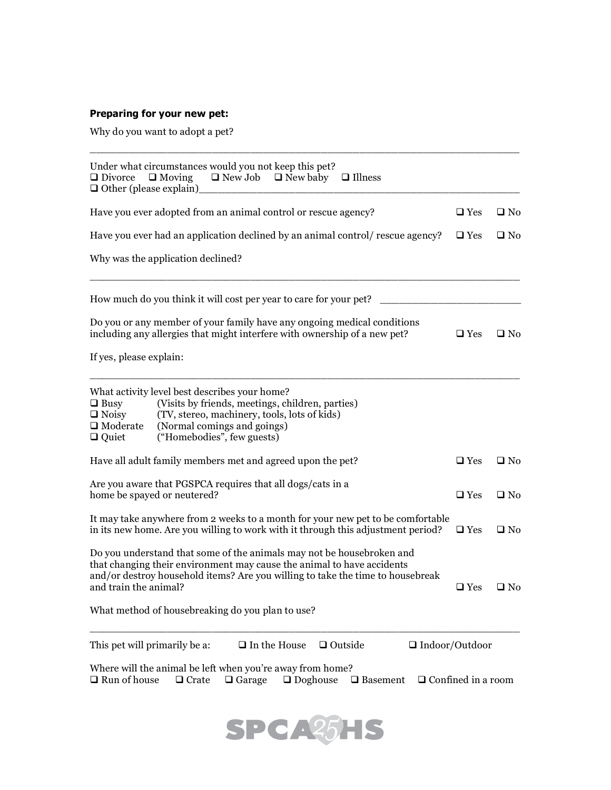## **Preparing for your new pet:**

Why do you want to adopt a pet?

| Under what circumstances would you not keep this pet?<br>$\Box$ New Job $\Box$ New baby<br>$\Box$ Moving<br>$\Box$ Illness<br>$\Box$ Divorce<br>$\Box$ Other (please explain)                                                                                                                                  |                           |              |
|----------------------------------------------------------------------------------------------------------------------------------------------------------------------------------------------------------------------------------------------------------------------------------------------------------------|---------------------------|--------------|
| Have you ever adopted from an animal control or rescue agency?                                                                                                                                                                                                                                                 | $\square$ Yes             | $\Box$ No    |
| Have you ever had an application declined by an animal control/ rescue agency?                                                                                                                                                                                                                                 | $\Box$ Yes                | $\square$ No |
| Why was the application declined?                                                                                                                                                                                                                                                                              |                           |              |
| How much do you think it will cost per year to care for your pet?                                                                                                                                                                                                                                              |                           |              |
| Do you or any member of your family have any ongoing medical conditions<br>including any allergies that might interfere with ownership of a new pet?                                                                                                                                                           | $\hfill\Box$<br>Yes       | $\square$ No |
| If yes, please explain:                                                                                                                                                                                                                                                                                        |                           |              |
| What activity level best describes your home?<br>(Visits by friends, meetings, children, parties)<br>$\Box$ Busy<br>$\Box$ Noisy<br>(TV, stereo, machinery, tools, lots of kids)<br>(Normal comings and goings)<br>$\Box$ Moderate<br>("Homebodies", few guests)<br>$\Box$ Quiet                               |                           |              |
| Have all adult family members met and agreed upon the pet?                                                                                                                                                                                                                                                     | $\square$ Yes             | $\square$ No |
| Are you aware that PGSPCA requires that all dogs/cats in a<br>home be spayed or neutered?                                                                                                                                                                                                                      | $\Box$ Yes                | $\square$ No |
| It may take anywhere from 2 weeks to a month for your new pet to be comfortable<br>in its new home. Are you willing to work with it through this adjustment period?                                                                                                                                            | $\Box$ Yes                | $\square$ No |
| Do you understand that some of the animals may not be housebroken and<br>that changing their environment may cause the animal to have accidents<br>and/or destroy household items? Are you willing to take the time to housebreak<br>and train the animal?<br>What method of housebreaking do you plan to use? | $\Box$ Yes                | $\square$ No |
| This pet will primarily be a:<br>$\Box$ In the House<br>$\Box$ Outside<br>$\Box$ Indoor/Outdoor                                                                                                                                                                                                                |                           |              |
| Where will the animal be left when you're away from home?<br>$\Box$ Run of house<br>$\Box$ Doghouse<br>$\Box$ Basement<br>$\Box$ Crate<br>$\Box$ Garage                                                                                                                                                        | $\Box$ Confined in a room |              |

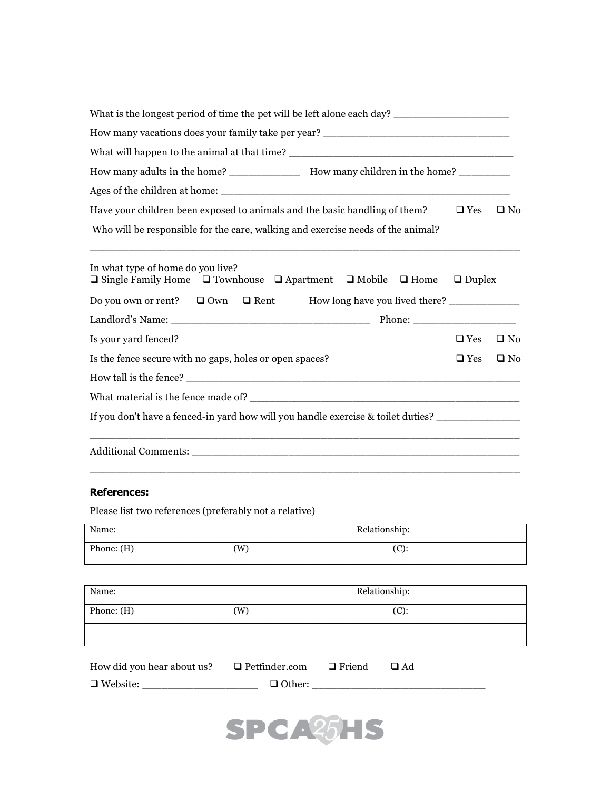| What is the longest period of time the pet will be left alone each day? ____________________________                                                          |               |              |  |
|---------------------------------------------------------------------------------------------------------------------------------------------------------------|---------------|--------------|--|
|                                                                                                                                                               |               |              |  |
|                                                                                                                                                               |               |              |  |
|                                                                                                                                                               |               |              |  |
| Have your children been exposed to animals and the basic handling of them?<br>Who will be responsible for the care, walking and exercise needs of the animal? | $\Box$ Yes    | $\square$ No |  |
| In what type of home do you live?<br>$\Box$ Single Family Home $\Box$ Townhouse $\Box$ Apartment $\Box$ Mobile $\Box$ Home $\Box$ Duplex                      |               |              |  |
| Do you own or rent? $\Box$ Own $\Box$ Rent How long have you lived there? ___________                                                                         |               |              |  |
|                                                                                                                                                               |               |              |  |
| Is your yard fenced?                                                                                                                                          | $\square$ Yes | $\square$ No |  |
| Is the fence secure with no gaps, holes or open spaces?                                                                                                       | $\square$ Yes | $\square$ No |  |
|                                                                                                                                                               |               |              |  |
|                                                                                                                                                               |               |              |  |
| If you don't have a fenced-in yard how will you handle exercise & toilet duties? _________________                                                            |               |              |  |
|                                                                                                                                                               |               |              |  |

### **References:**

Please list two references (preferably not a relative)

| Name:                                                         |          | Relationship: |
|---------------------------------------------------------------|----------|---------------|
| Phone: $(H)$                                                  | (W)      | $(C)$ :       |
|                                                               |          |               |
| Name:                                                         |          | Relationship: |
| Phone: $(H)$                                                  | (W)      | (C):          |
|                                                               |          |               |
| How did you hear about us? $\Box$ Petfinder.com $\Box$ Friend |          | $\square$ Ad  |
| $\Box$ Website:                                               |          |               |
|                                                               |          |               |
|                                                               | SPCA25HS |               |